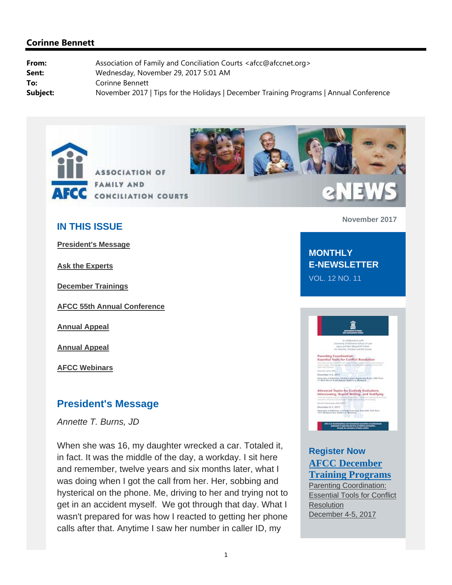



# eNEW

## **IN THIS ISSUE**

**President's Message**

**Ask the Experts**

**December Trainings**

**AFCC 55th Annual Conference**

**Annual Appeal**

**Annual Appeal**

**AFCC Webinars**

## **President's Message**

*Annette T. Burns, JD* 

When she was 16, my daughter wrecked a car. Totaled it, in fact. It was the middle of the day, a workday. I sit here and remember, twelve years and six months later, what I was doing when I got the call from her. Her, sobbing and hysterical on the phone. Me, driving to her and trying not to get in an accident myself. We got through that day. What I wasn't prepared for was how I reacted to getting her phone calls after that. Anytime I saw her number in caller ID, my

**November 2017**

# **MONTHLY E-NEWSLETTER**

VOL. 12 NO. 11



## **Register Now AFCC December Training Programs**

Parenting Coordination: Essential Tools for Conflict **Resolution** December 4-5, 2017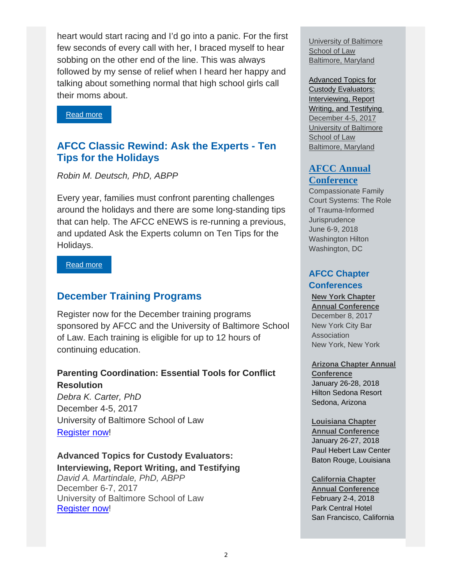heart would start racing and I'd go into a panic. For the first few seconds of every call with her, I braced myself to hear sobbing on the other end of the line. This was always followed by my sense of relief when I heard her happy and talking about something normal that high school girls call their moms about.

Read more

## **AFCC Classic Rewind: Ask the Experts - Ten Tips for the Holidays**

*Robin M. Deutsch, PhD, ABPP*

Every year, families must confront parenting challenges around the holidays and there are some long-standing tips that can help. The AFCC eNEWS is re-running a previous, and updated Ask the Experts column on Ten Tips for the Holidays.

#### Read more

## **December Training Programs**

Register now for the December training programs sponsored by AFCC and the University of Baltimore School of Law. Each training is eligible for up to 12 hours of continuing education.

## **Parenting Coordination: Essential Tools for Conflict Resolution**

*Debra K. Carter, PhD* December 4-5, 2017 University of Baltimore School of Law Register now!

#### **Advanced Topics for Custody Evaluators: Interviewing, Report Writing, and Testifying** *David A. Martindale, PhD, ABPP* December 6-7, 2017 University of Baltimore School of Law Register now!

University of Baltimore School of Law Baltimore, Maryland

Advanced Topics for Custody Evaluators: Interviewing, Report Writing, and Testifying December 4-5, 2017 University of Baltimore School of Law Baltimore, Maryland

## **AFCC Annual Conference**

Compassionate Family Court Systems: The Role of Trauma-Informed **Jurisprudence** June 6-9, 2018 Washington Hilton Washington, DC

## **AFCC Chapter Conferences**

#### **New York Chapter**

**Annual Conference**  December 8, 2017 New York City Bar **Association** New York, New York

#### **Arizona Chapter Annual**

**Conference**  January 26-28, 2018 Hilton Sedona Resort Sedona, Arizona

#### **Louisiana Chapter Annual Conference**  January 26-27, 2018 Paul Hebert Law Center Baton Rouge, Louisiana

**California Chapter Annual Conference** February 2-4, 2018 Park Central Hotel San Francisco, California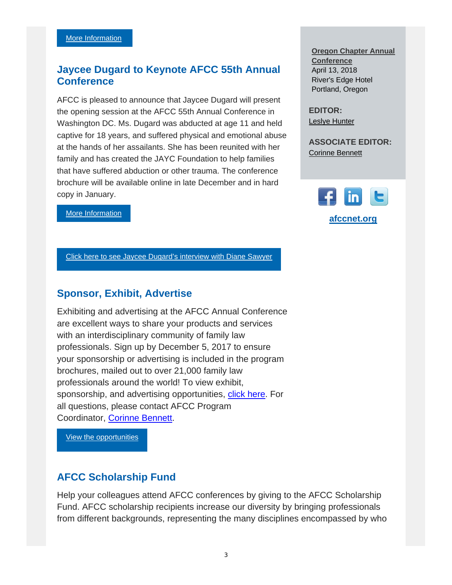## **Jaycee Dugard to Keynote AFCC 55th Annual Conference**

AFCC is pleased to announce that Jaycee Dugard will present the opening session at the AFCC 55th Annual Conference in Washington DC. Ms. Dugard was abducted at age 11 and held captive for 18 years, and suffered physical and emotional abuse at the hands of her assailants. She has been reunited with her family and has created the JAYC Foundation to help families that have suffered abduction or other trauma. The conference brochure will be available online in late December and in hard copy in January.

More Information

Click here to see Jaycee Dugard's interview with Diane Sawyer

#### **Sponsor, Exhibit, Advertise**

Exhibiting and advertising at the AFCC Annual Conference are excellent ways to share your products and services with an interdisciplinary community of family law professionals. Sign up by December 5, 2017 to ensure your sponsorship or advertising is included in the program brochures, mailed out to over 21,000 family law professionals around the world! To view exhibit, sponsorship, and advertising opportunities, click here. For all questions, please contact AFCC Program Coordinator, Corinne Bennett.

View the opportunities

### **AFCC Scholarship Fund**

Help your colleagues attend AFCC conferences by giving to the AFCC Scholarship Fund. AFCC scholarship recipients increase our diversity by bringing professionals from different backgrounds, representing the many disciplines encompassed by who

**Oregon Chapter Annual Conference** April 13, 2018 River's Edge Hotel Portland, Oregon

**EDITOR:** Leslye Hunter

**ASSOCIATE EDITOR:** Corinne Bennett

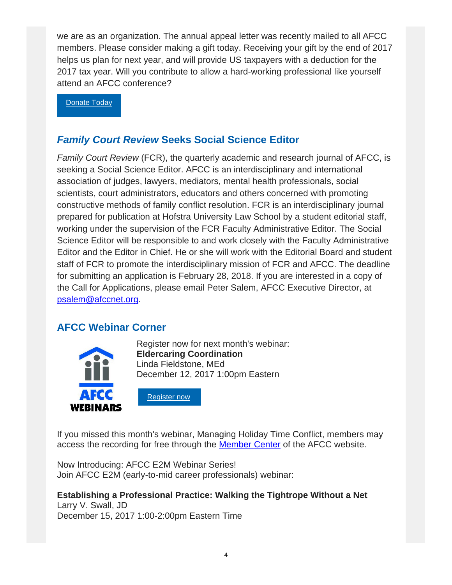we are as an organization. The annual appeal letter was recently mailed to all AFCC members. Please consider making a gift today. Receiving your gift by the end of 2017 helps us plan for next year, and will provide US taxpayers with a deduction for the 2017 tax year. Will you contribute to allow a hard-working professional like yourself attend an AFCC conference?

Donate Today

## *Family Court Review* **Seeks Social Science Editor**

*Family Court Review* (FCR), the quarterly academic and research journal of AFCC, is seeking a Social Science Editor. AFCC is an interdisciplinary and international association of judges, lawyers, mediators, mental health professionals, social scientists, court administrators, educators and others concerned with promoting constructive methods of family conflict resolution. FCR is an interdisciplinary journal prepared for publication at Hofstra University Law School by a student editorial staff, working under the supervision of the FCR Faculty Administrative Editor. The Social Science Editor will be responsible to and work closely with the Faculty Administrative Editor and the Editor in Chief. He or she will work with the Editorial Board and student staff of FCR to promote the interdisciplinary mission of FCR and AFCC. The deadline for submitting an application is February 28, 2018. If you are interested in a copy of the Call for Applications, please email Peter Salem, AFCC Executive Director, at psalem@afccnet.org.

## **AFCC Webinar Corner**



Register now for next month's webinar: **Eldercaring Coordination** Linda Fieldstone, MEd December 12, 2017 1:00pm Eastern



If you missed this month's webinar, Managing Holiday Time Conflict, members may access the recording for free through the **Member Center** of the AFCC website.

Now Introducing: AFCC E2M Webinar Series! Join AFCC E2M (early-to-mid career professionals) webinar:

**Establishing a Professional Practice: Walking the Tightrope Without a Net** Larry V. Swall, JD

December 15, 2017 1:00-2:00pm Eastern Time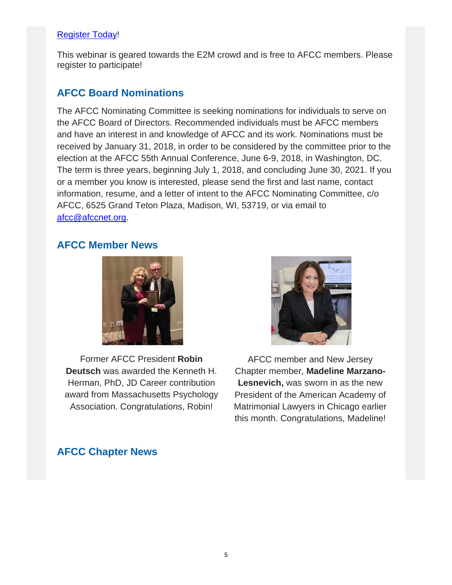#### Register Today!

This webinar is geared towards the E2M crowd and is free to AFCC members. Please register to participate!

## **AFCC Board Nominations**

The AFCC Nominating Committee is seeking nominations for individuals to serve on the AFCC Board of Directors. Recommended individuals must be AFCC members and have an interest in and knowledge of AFCC and its work. Nominations must be received by January 31, 2018, in order to be considered by the committee prior to the election at the AFCC 55th Annual Conference, June 6-9, 2018, in Washington, DC. The term is three years, beginning July 1, 2018, and concluding June 30, 2021. If you or a member you know is interested, please send the first and last name, contact information, resume, and a letter of intent to the AFCC Nominating Committee, c/o AFCC, 6525 Grand Teton Plaza, Madison, WI, 53719, or via email to afcc@afccnet.org.

## **AFCC Member News**



Former AFCC President **Robin Deutsch** was awarded the Kenneth H. Herman, PhD, JD Career contribution award from Massachusetts Psychology Association. Congratulations, Robin!



AFCC member and New Jersey Chapter member, **Madeline Marzano-Lesnevich,** was sworn in as the new President of the American Academy of Matrimonial Lawyers in Chicago earlier this month. Congratulations, Madeline!

## **AFCC Chapter News**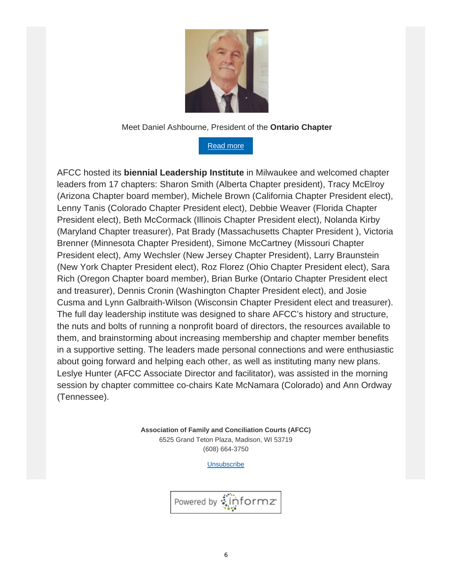

#### Meet Daniel Ashbourne, President of the **Ontario Chapter**

Read more

AFCC hosted its **biennial Leadership Institute** in Milwaukee and welcomed chapter leaders from 17 chapters: Sharon Smith (Alberta Chapter president), Tracy McElroy (Arizona Chapter board member), Michele Brown (California Chapter President elect), Lenny Tanis (Colorado Chapter President elect), Debbie Weaver (Florida Chapter President elect), Beth McCormack (Illinois Chapter President elect), Nolanda Kirby (Maryland Chapter treasurer), Pat Brady (Massachusetts Chapter President ), Victoria Brenner (Minnesota Chapter President), Simone McCartney (Missouri Chapter President elect), Amy Wechsler (New Jersey Chapter President), Larry Braunstein (New York Chapter President elect), Roz Florez (Ohio Chapter President elect), Sara Rich (Oregon Chapter board member), Brian Burke (Ontario Chapter President elect and treasurer), Dennis Cronin (Washington Chapter President elect), and Josie Cusma and Lynn Galbraith-Wilson (Wisconsin Chapter President elect and treasurer). The full day leadership institute was designed to share AFCC's history and structure, the nuts and bolts of running a nonprofit board of directors, the resources available to them, and brainstorming about increasing membership and chapter member benefits in a supportive setting. The leaders made personal connections and were enthusiastic about going forward and helping each other, as well as instituting many new plans. Leslye Hunter (AFCC Associate Director and facilitator), was assisted in the morning session by chapter committee co-chairs Kate McNamara (Colorado) and Ann Ordway (Tennessee).

> **Association of Family and Conciliation Courts (AFCC)** 6525 Grand Teton Plaza, Madison, WI 53719 (608) 664-3750

> > **Unsubscribe**

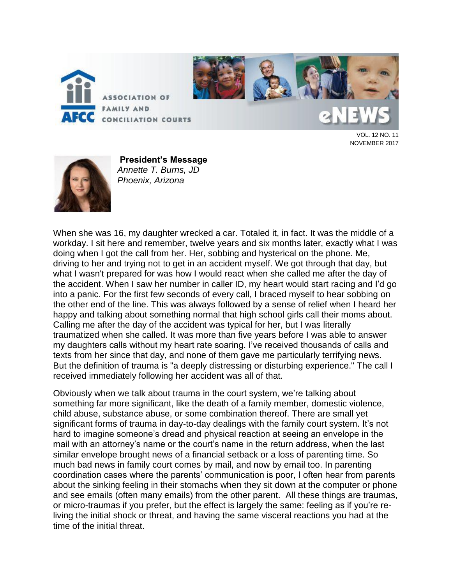

VOL. 12 NO. 11 NOVEMBER 2017



**President's Message** *Annette T. Burns, JD Phoenix, Arizona*

When she was 16, my daughter wrecked a car. Totaled it, in fact. It was the middle of a workday. I sit here and remember, twelve years and six months later, exactly what I was doing when I got the call from her. Her, sobbing and hysterical on the phone. Me, driving to her and trying not to get in an accident myself. We got through that day, but what I wasn't prepared for was how I would react when she called me after the day of the accident. When I saw her number in caller ID, my heart would start racing and I'd go into a panic. For the first few seconds of every call, I braced myself to hear sobbing on the other end of the line. This was always followed by a sense of relief when I heard her happy and talking about something normal that high school girls call their moms about. Calling me after the day of the accident was typical for her, but I was literally traumatized when she called. It was more than five years before I was able to answer my daughters calls without my heart rate soaring. I've received thousands of calls and texts from her since that day, and none of them gave me particularly terrifying news. But the definition of trauma is "a deeply distressing or disturbing experience." The call I received immediately following her accident was all of that.

Obviously when we talk about trauma in the court system, we're talking about something far more significant, like the death of a family member, domestic violence, child abuse, substance abuse, or some combination thereof. There are small yet significant forms of trauma in day-to-day dealings with the family court system. It's not hard to imagine someone's dread and physical reaction at seeing an envelope in the mail with an attorney's name or the court's name in the return address, when the last similar envelope brought news of a financial setback or a loss of parenting time. So much bad news in family court comes by mail, and now by email too. In parenting coordination cases where the parents' communication is poor, I often hear from parents about the sinking feeling in their stomachs when they sit down at the computer or phone and see emails (often many emails) from the other parent. All these things are traumas, or micro-traumas if you prefer, but the effect is largely the same: feeling as if you're reliving the initial shock or threat, and having the same visceral reactions you had at the time of the initial threat.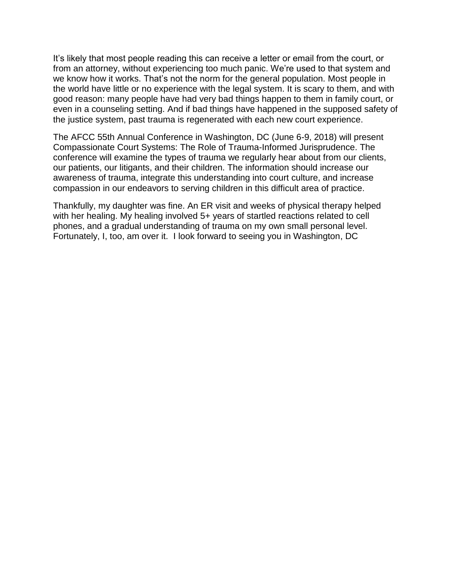It's likely that most people reading this can receive a letter or email from the court, or from an attorney, without experiencing too much panic. We're used to that system and we know how it works. That's not the norm for the general population. Most people in the world have little or no experience with the legal system. It is scary to them, and with good reason: many people have had very bad things happen to them in family court, or even in a counseling setting. And if bad things have happened in the supposed safety of the justice system, past trauma is regenerated with each new court experience.

The AFCC 55th Annual Conference in Washington, DC (June 6-9, 2018) will present Compassionate Court Systems: The Role of Trauma-Informed Jurisprudence. The conference will examine the types of trauma we regularly hear about from our clients, our patients, our litigants, and their children. The information should increase our awareness of trauma, integrate this understanding into court culture, and increase compassion in our endeavors to serving children in this difficult area of practice.

Thankfully, my daughter was fine. An ER visit and weeks of physical therapy helped with her healing. My healing involved 5+ years of startled reactions related to cell phones, and a gradual understanding of trauma on my own small personal level. Fortunately, I, too, am over it. I look forward to seeing you in Washington, DC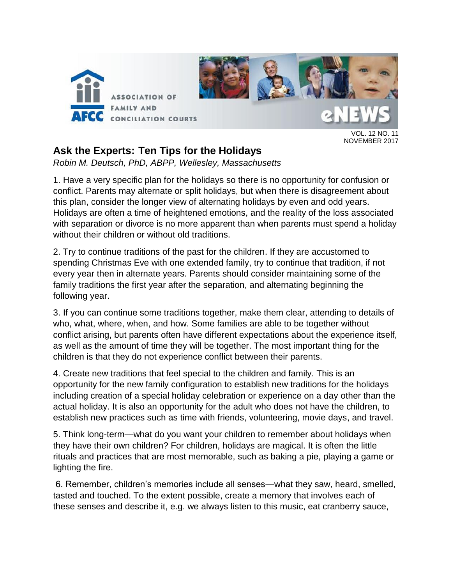

VOL. 12 NO. 11 NOVEMBER 2017

# **Ask the Experts: Ten Tips for the Holidays**

*Robin M. Deutsch, PhD, ABPP, Wellesley, Massachusetts* 

1. Have a very specific plan for the holidays so there is no opportunity for confusion or conflict. Parents may alternate or split holidays, but when there is disagreement about this plan, consider the longer view of alternating holidays by even and odd years. Holidays are often a time of heightened emotions, and the reality of the loss associated with separation or divorce is no more apparent than when parents must spend a holiday without their children or without old traditions.

2. Try to continue traditions of the past for the children. If they are accustomed to spending Christmas Eve with one extended family, try to continue that tradition, if not every year then in alternate years. Parents should consider maintaining some of the family traditions the first year after the separation, and alternating beginning the following year.

3. If you can continue some traditions together, make them clear, attending to details of who, what, where, when, and how. Some families are able to be together without conflict arising, but parents often have different expectations about the experience itself, as well as the amount of time they will be together. The most important thing for the children is that they do not experience conflict between their parents.

4. Create new traditions that feel special to the children and family. This is an opportunity for the new family configuration to establish new traditions for the holidays including creation of a special holiday celebration or experience on a day other than the actual holiday. It is also an opportunity for the adult who does not have the children, to establish new practices such as time with friends, volunteering, movie days, and travel.

5. Think long-term—what do you want your children to remember about holidays when they have their own children? For children, holidays are magical. It is often the little rituals and practices that are most memorable, such as baking a pie, playing a game or lighting the fire.

6. Remember, children's memories include all senses—what they saw, heard, smelled, tasted and touched. To the extent possible, create a memory that involves each of these senses and describe it, e.g. we always listen to this music, eat cranberry sauce,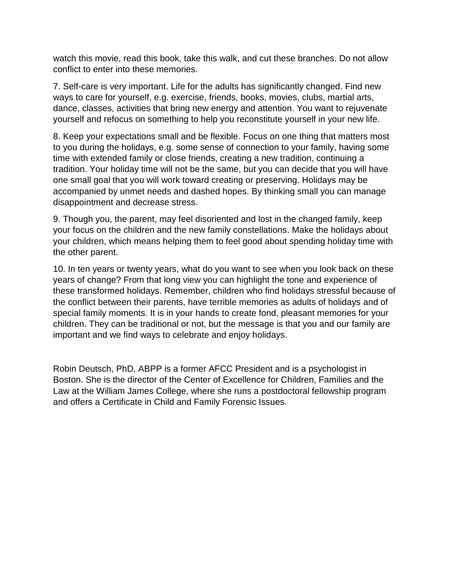watch this movie, read this book, take this walk, and cut these branches. Do not allow conflict to enter into these memories.

7. Self-care is very important. Life for the adults has significantly changed. Find new ways to care for yourself, e.g. exercise, friends, books, movies, clubs, martial arts, dance, classes, activities that bring new energy and attention. You want to rejuvenate yourself and refocus on something to help you reconstitute yourself in your new life.

8. Keep your expectations small and be flexible. Focus on one thing that matters most to you during the holidays, e.g. some sense of connection to your family, having some time with extended family or close friends, creating a new tradition, continuing a tradition. Your holiday time will not be the same, but you can decide that you will have one small goal that you will work toward creating or preserving. Holidays may be accompanied by unmet needs and dashed hopes. By thinking small you can manage disappointment and decrease stress.

9. Though you, the parent, may feel disoriented and lost in the changed family, keep your focus on the children and the new family constellations. Make the holidays about your children, which means helping them to feel good about spending holiday time with the other parent.

10. In ten years or twenty years, what do you want to see when you look back on these years of change? From that long view you can highlight the tone and experience of these transformed holidays. Remember, children who find holidays stressful because of the conflict between their parents, have terrible memories as adults of holidays and of special family moments. It is in your hands to create fond, pleasant memories for your children. They can be traditional or not, but the message is that you and our family are important and we find ways to celebrate and enjoy holidays.

Robin Deutsch, PhD, ABPP is a former AFCC President and is a psychologist in Boston. She is the director of the Center of Excellence for Children, Families and the Law at the William James College, where she runs a postdoctoral fellowship program and offers a Certificate in Child and Family Forensic Issues.